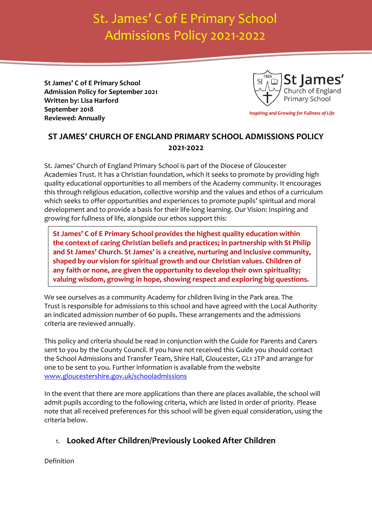# St. James' C of E Primary School Admissions Policy 2021-2022

**St James' C of E Primary School Admission Policy for September 2021 Written by: Lisa Harford September 2018 Reviewed: Annually**



*Inspiring and Growing for Fullness of Life*

# **ST JAMES' CHURCH OF ENGLAND PRIMARY SCHOOL ADMISSIONS POLICY 2021-2022**

St. James' Church of England Primary School is part of the Diocese of Gloucester Academies Trust. It has a Christian foundation, which it seeks to promote by providing high quality educational opportunities to all members of the Academy community. It encourages this through religious education, collective worship and the values and ethos of a curriculum which seeks to offer opportunities and experiences to promote pupils' spiritual and moral development and to provide a basis for their life-long learning. Our Vision: Inspiring and growing for fullness of life, alongside our ethos support this:

**St James' C of E Primary School provides the highest quality education within the context of caring Christian beliefs and practices; in partnership with St Philip and St James' Church. St James' is a creative, nurturing and inclusive community, shaped by our vision for spiritual growth and our Christian values. Children of any faith or none, are given the opportunity to develop their own spirituality; valuing wisdom, growing in hope, showing respect and exploring big questions.** 

We see ourselves as a community Academy for children living in the Park area. The Trust is responsible for admissions to this school and have agreed with the Local Authority an indicated admission number of 60 pupils. These arrangements and the admissions criteria are reviewed annually.

This policy and criteria should be read in conjunction with the Guide for Parents and Carers sent to you by the County Council. If you have not received this Guide you should contact the School Admissions and Transfer Team, Shire Hall, Gloucester, GL1 2TP and arrange for one to be sent to you. Further information is available from the website [www.gloucestershire.gov.uk/schooladmissions](http://www.gloucestershire.gov.uk/schooladmissions)

In the event that there are more applications than there are places available, the school will admit pupils according to the following criteria, which are listed in order of priority. Please note that all received preferences for this school will be given equal consideration, using the criteria below.

## 1. **Looked After Children/Previously Looked After Children**

Definition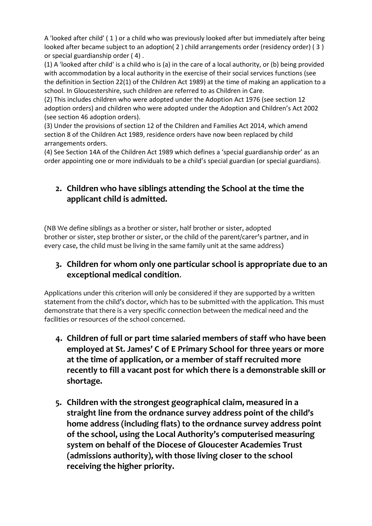A 'looked after child' ( 1 ) or a child who was previously looked after but immediately after being looked after became subject to an adoption( 2 ) child arrangements order (residency order) ( 3 ) or special guardianship order ( 4) .

(1) A 'looked after child' is a child who is (a) in the care of a local authority, or (b) being provided with accommodation by a local authority in the exercise of their social services functions (see the definition in Section 22(1) of the Children Act 1989) at the time of making an application to a school. In Gloucestershire, such children are referred to as Children in Care.

(2) This includes children who were adopted under the Adoption Act 1976 (see section 12 adoption orders) and children who were adopted under the Adoption and Children's Act 2002 (see section 46 adoption orders).

(3) Under the provisions of section 12 of the Children and Families Act 2014, which amend section 8 of the Children Act 1989, residence orders have now been replaced by child arrangements orders.

(4) See Section 14A of the Children Act 1989 which defines a 'special guardianship order' as an order appointing one or more individuals to be a child's special guardian (or special guardians).

# **2. Children who have siblings attending the School at the time the applicant child is admitted.**

(NB We define siblings as a brother or sister, half brother or sister, adopted brother or sister, step brother or sister, or the child of the parent/carer's partner, and in every case, the child must be living in the same family unit at the same address)

#### **3. Children for whom only one particular school is appropriate due to an exceptional medical condition**.

Applications under this criterion will only be considered if they are supported by a written statement from the child's doctor, which has to be submitted with the application. This must demonstrate that there is a very specific connection between the medical need and the facilities or resources of the school concerned.

- **4. Children of full or part time salaried members of staff who have been employed at St. James' C of E Primary School for three years or more at the time of application, or a member of staff recruited more recently to fill a vacant post for which there is a demonstrable skill or shortage.**
- **5. Children with the strongest geographical claim, measured in a straight line from the ordnance survey address point of the child's home address (including flats) to the ordnance survey address point of the school, using the Local Authority's computerised measuring system on behalf of the Diocese of Gloucester Academies Trust (admissions authority), with those living closer to the school receiving the higher priority.**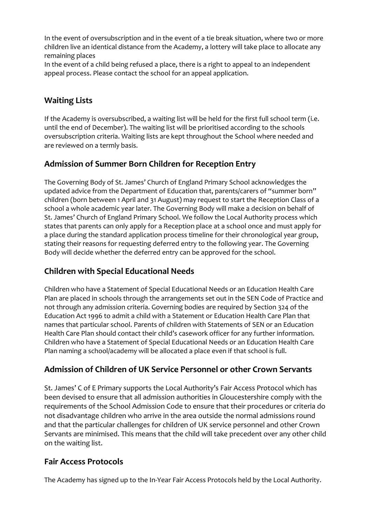In the event of oversubscription and in the event of a tie break situation, where two or more children live an identical distance from the Academy, a lottery will take place to allocate any remaining places

In the event of a child being refused a place, there is a right to appeal to an independent appeal process. Please contact the school for an appeal application.

# **Waiting Lists**

If the Academy is oversubscribed, a waiting list will be held for the first full school term (i.e. until the end of December). The waiting list will be prioritised according to the schools oversubscription criteria. Waiting lists are kept throughout the School where needed and are reviewed on a termly basis.

# **Admission of Summer Born Children for Reception Entry**

The Governing Body of St. James' Church of England Primary School acknowledges the updated advice from the Department of Education that, parents/carers of "summer born" children (born between 1 April and 31 August) may request to start the Reception Class of a school a whole academic year later. The Governing Body will make a decision on behalf of St. James' Church of England Primary School. We follow the Local Authority process which states that parents can only apply for a Reception place at a school once and must apply for a place during the standard application process timeline for their chronological year group, stating their reasons for requesting deferred entry to the following year. The Governing Body will decide whether the deferred entry can be approved for the school.

## **Children with Special Educational Needs**

Children who have a Statement of Special Educational Needs or an Education Health Care Plan are placed in schools through the arrangements set out in the SEN Code of Practice and not through any admission criteria. Governing bodies are required by Section 324 of the Education Act 1996 to admit a child with a Statement or Education Health Care Plan that names that particular school. Parents of children with Statements of SEN or an Education Health Care Plan should contact their child's casework officer for any further information. Children who have a Statement of Special Educational Needs or an Education Health Care Plan naming a school/academy will be allocated a place even if that school is full.

# **Admission of Children of UK Service Personnel or other Crown Servants**

St. James' C of E Primary supports the Local Authority's Fair Access Protocol which has been devised to ensure that all admission authorities in Gloucestershire comply with the requirements of the School Admission Code to ensure that their procedures or criteria do not disadvantage children who arrive in the area outside the normal admissions round and that the particular challenges for children of UK service personnel and other Crown Servants are minimised. This means that the child will take precedent over any other child on the waiting list.

## **Fair Access Protocols**

The Academy has signed up to the In-Year Fair Access Protocols held by the Local Authority.